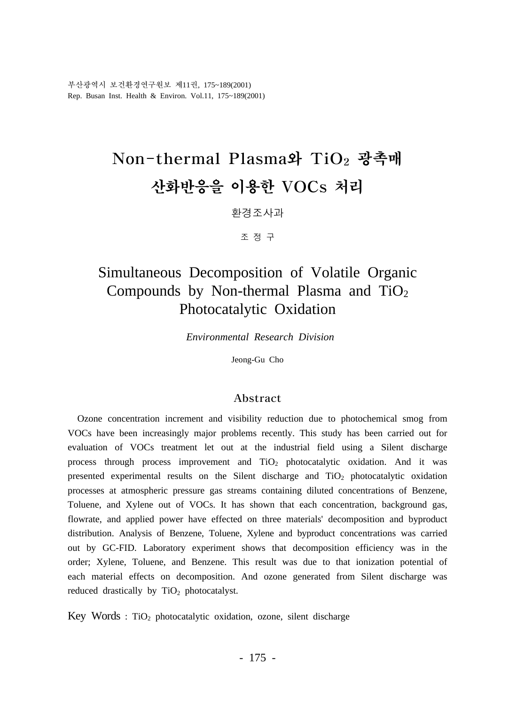부산광역시 보건환경연구원보 제11권, 175~189(2001) Rep. Busan Inst. Health & Environ. Vol.11, 175~189(2001)

# Non-thermal Plasma와 TiO2 광촉매 산화반응을 이용한 VOCs 처리

환경조사과

조 정 구

# Simultaneous Decomposition of Volatile Organic Compounds by Non-thermal Plasma and  $TiO<sub>2</sub>$ Photocatalytic Oxidation

 *Environmental Research Division*

Jeong-Gu Cho

#### Abstract

 Ozone concentration increment and visibility reduction due to photochemical smog from VOCs have been increasingly major problems recently. This study has been carried out for evaluation of VOCs treatment let out at the industrial field using a Silent discharge process through process improvement and TiO2 photocatalytic oxidation. And it was presented experimental results on the Silent discharge and TiO2 photocatalytic oxidation processes at atmospheric pressure gas streams containing diluted concentrations of Benzene, Toluene, and Xylene out of VOCs. It has shown that each concentration, background gas, flowrate, and applied power have effected on three materials' decomposition and byproduct distribution. Analysis of Benzene, Toluene, Xylene and byproduct concentrations was carried out by GC-FID. Laboratory experiment shows that decomposition efficiency was in the order; Xylene, Toluene, and Benzene. This result was due to that ionization potential of each material effects on decomposition. And ozone generated from Silent discharge was reduced drastically by  $TiO<sub>2</sub>$  photocatalyst.

Key Words :  $TiO<sub>2</sub>$  photocatalytic oxidation, ozone, silent discharge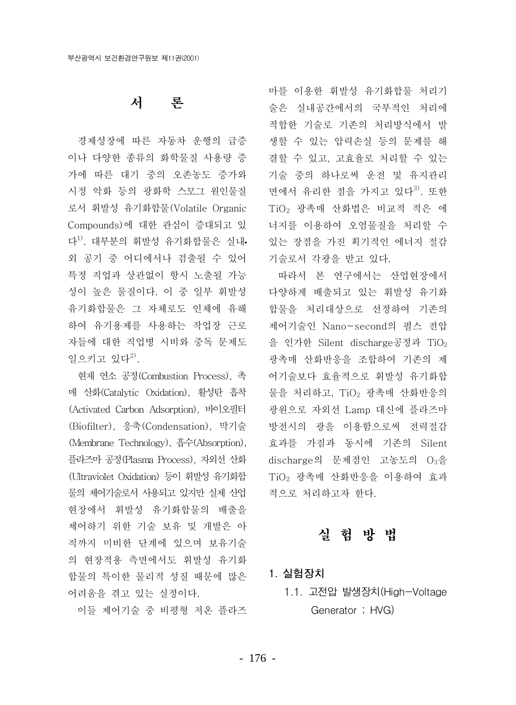#### 서 로 두

경제성장에 따른 자동차 운행의 급증 이나 다양한 종류의 화학물질 사용량 증 가에 따른 대기 중의 오존농도 증가와 시정 악화 등의 광화학 스모그 워인물질 로서 휘발성 유기화합물(Volatile Organic Compounds)에 대한 관심이 증대되고 있 다<sup>1)</sup>. 대부분의 휘발성 유기화합물은 실내· 외 공기 중 어디에서나 검출될 수 있어 특정 직업과 상관없이 항시 노출될 가능 성이 높은 물질이다. 이 중 일부 휘발성 유기화합물은 그 자체로도 인체에 유해 하여 유기용제를 사용하는 작업장 근로 자들에 대한 직업병 시비와 중독 문제도 일으키고 있다<sup>2)</sup>.

현재 연소 공정(Combustion Process), 촉 매 사화(Catalytic Oxidation). 활성탄 흡착 (Activated Carbon Adsorption), 바이오필터 (Biofilter), 응축(Condensation), 막기술 (Membrane Technology), 흡수(Absorption), 플라즈마 공정(Plasma Process), 자외선 산화 (Ultraviolet Oxidation) 등이 휘발성 유기화합 물의 제어기술로서 사용되고 있지만 실제 산업 현장에서 휘발성 유기화합물의 배출을 제어하기 위한 기술 보유 및 개발은 아 직까지 미비한 단계에 있으며 보유기술 의 현장적용 측면에서도 휘발성 유기화 합물의 특이한 물리적 성질 때문에 많은 어려움을 겪고 있는 실정이다.

이들 제어기술 중 비평형 저온 플라즈

마를 이용한 휘발성 유기화합물 처리기 술은 실내공간에서의 국부적인 처리에 적합한 기술로 기존의 처리방식에서 발 생할 수 있는 압력손실 등의 문제를 해 결할 수 있고, 고효율로 처리할 수 있는 기술 중의 하나로써 운전 및 유지관리 면에서 유리한 점을 가지고 있다<sup>3)</sup>. 또한 TiO<sub>2</sub> 광촉매 산화법은 비교적 적은 에 너지를 이용하여 오염물질을 처리할 수 있는 장점을 가진 획기적인 에너지 절감 기술로서 각광을 받고 있다.

따라서 본 연구에서는 산업협장에서 다양하게 배출되고 있는 휘발성 유기화 합물을 처리대상으로 선정하여 기존의 제어기술인 Nano-second의 펄스 전압 을 인가한 Silent discharge공정과 TiO2 광촉매 산화반응을 조합하여 기존의 제 어기술보다 효율적으로 휘발성 유기화합 물을 처리하고, TiO<sub>2</sub> 광촉매 산화반응의 광원으로 자외선 Lamp 대신에 플라즈마 방전시의 광을 이용함으로써 전력절감 효과를 가짐과 동시에 기존의 Silent discharge의 문제점인 고농도의  $O_3$ 을 TiO<sub>2</sub> 광촉매 산화반응을 이용하여 효과 적으로 처리하고자 한다.

### 실 헊 방 법

### 1. 실험장치

1.1. 고전압 발생장치(High-Voltage Generator ; HVG)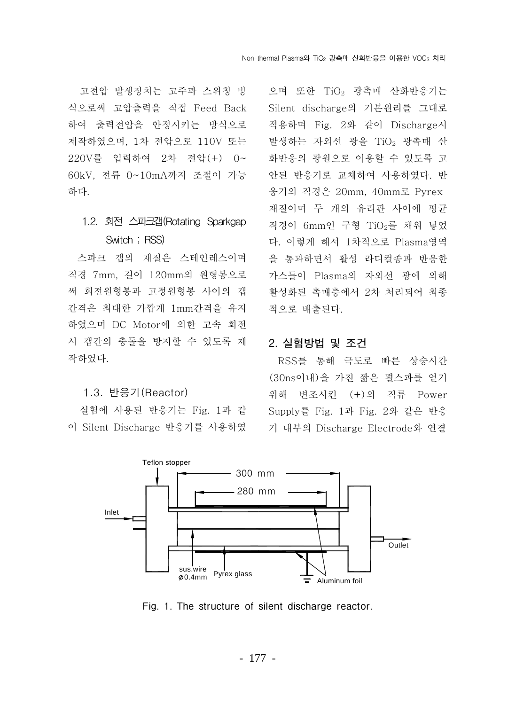고전압 발생장치는 고주파 스위칭 방 식으로써 고압출력을 직접 Feed Back 하여 출력전압을 안정시키는 방식으로 제작하였으며, 1차 전압으로 110V 또는 220V를 입력하여 2차 전압 (+) 0~ 60kV. 전류 0~10mA까지 조절이 가능 하다.

### 1.2. 회전 스파크갭(Rotating Sparkgap Switch; RSS)

스파크 갭의 재질은 스테인레스이며 직경 7mm, 길이 120mm의 원형봉으로 써 회전원형봉과 고정원형봉 사이의 갭 간격은 최대한 가깝게 1mm간격을 유지 하였으며 DC Motor에 의한 고속 회전 시 갭간의 충돌을 방지할 수 있도록 제 작하였다.

#### 1.3. 반응기 (Reactor)

실험에 사용된 반응기는 Fig. 1과 같 이 Silent Discharge 반응기를 사용하였

으며 또한 TiO<sub>2</sub> 광촉매 산화반응기는 Silent discharge의 기본원리를 그대로 적용하며 Fig. 2와 같이 Discharge시 발생하는 자외선 광을 TiO<sub>2</sub> 광촉매 산 화반응의 광원으로 이용할 수 있도록 고 안된 반응기로 교체하여 사용하였다. 반 응기의 직경은 20mm, 40mm로 Pyrex 재질이며 두 개의 유리관 사이에 평균 직경이 6mm인 구형 TiO<sub>2</sub>를 채워 넣었 다. 이렇게 해서 1차적으로 Plasma영역 을 통과하면서 활성 라디컬종과 반응한 가스들이 Plasma의 자외선 광에 의해 활성화된 촉매층에서 2차 처리되어 최종 적으로 배출된다.

#### 2. 실험방법 및 조건

RSS를 통해 극도로 빠른 상승시간 (30ns이내)을 가진 짧은 펄스파를 얻기 위해 변조시킨 (+)의 직류 Power Supply를 Fig. 1과 Fig. 2와 같은 반응 기 내부의 Discharge Electrode와 연결



Fig. 1. The structure of silent discharge reactor.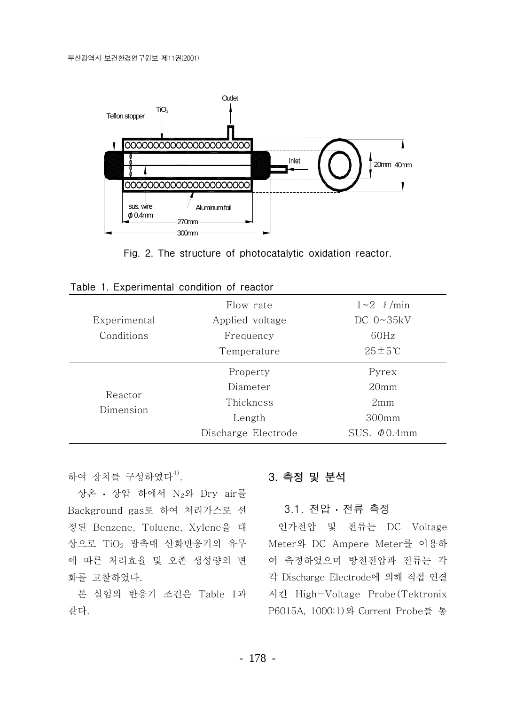

Fig. 2. The structure of photocatalytic oxidation reactor.

|                      | Flow rate           | $1\sim2$ $\ell$ /min |
|----------------------|---------------------|----------------------|
| Experimental         | Applied voltage     | DC $0 \sim 35kV$     |
| Conditions           | Frequency           | 60Hz                 |
|                      | Temperature         | $25 \pm 5^{\circ}$ C |
| Reactor<br>Dimension | Property            | Pyrex                |
|                      | Diameter            | 20 <sub>mm</sub>     |
|                      | Thickness           | 2mm                  |
|                      | Length              | 300 <sub>mm</sub>    |
|                      | Discharge Electrode | SUS. $\Phi$ 0.4mm    |

하여 장치를 구성하였다<sup>4)</sup>.

상온 · 상압 하에서 N<sub>2</sub>와 Dry air를 Background gas로 하여 처리가스로 선 정된 Benzene, Toluene, Xylene을 대 상으로 TiO<sub>2</sub> 광촉매 산화반응기의 유무 에 따른 처리효율 및 오존 생성량의 변 화를 고찰하였다.

본 실험의 반응기 조건은 Table 1과 같다.

### 3. 측정 및 분석

### 3.1. 전압 · 전류 측정

인가전압 및 전류는 DC Voltage Meter와 DC Ampere Meter를 이용하 여 측정하였으며 방전전압과 전류는 각 각 Discharge Electrode에 의해 직접 연결 시킨 High-Voltage Probe(Tektronix P6015A, 1000:1) 와 Current Probe를 통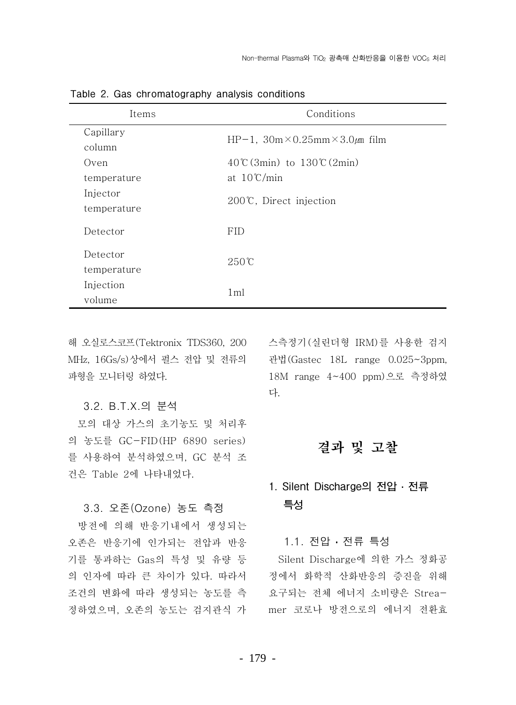| Items       | Conditions                                      |  |
|-------------|-------------------------------------------------|--|
| Capillary   | HP-1, $30m \times 0.25mm \times 3.0 \mu m$ film |  |
| column      |                                                 |  |
| Oven        | $40^{\circ}$ (3min) to $130^{\circ}$ (2min)     |  |
| temperature | at $10^{\circ}$ C/min                           |  |
| Injector    |                                                 |  |
| temperature | $200^{\circ}$ C, Direct injection               |  |
| Detector    | <b>FID</b>                                      |  |
|             |                                                 |  |
| Detector    | $250^{\circ}$ C                                 |  |
| temperature |                                                 |  |
| Injection   | 1 <sub>ml</sub>                                 |  |
| volume      |                                                 |  |

Table 2. Gas chromatography analysis conditions

MHz, 16Gs/s)상에서 펄스 전압 및 전류의 파형을 모니터링 하였다.

#### 3.2. B.T.X.의 분석

모의 대상 가스의 초기농도 및 처리후 의 농도를 GC-FID(HP 6890 series) 를 사용하여 분석하였으며, GC 분석 조 건은 Table 2에 나타내었다.

#### 3.3. 오존(Ozone) 농도 측정

방전에 의해 반응기내에서 생성되는 오존은 반응기에 인가되는 전압과 반응 기를 통과하는 Gas의 특성 및 유량 등 의 인자에 따라 큰 차이가 있다. 따라서 조건의 변화에 따라 생성되는 농도를 측 정하였으며, 오존의 농도는 검지관식 가

해 오실로스코프(Tektronix TDS360, 200 스측정기(실린더형 IRM)를 사용한 검지 관법(Gastec 18L range 0.025~3ppm, 18M range 4~400 ppm)으로 측정하였 다.

### 결과 및 고찰

## 1. Silent Discharge의 전압 · 전류 특성

#### 1.1. 전압 · 전류 특성

Silent Discharge에 의한 가스 정화공 정에서 화학적 산화반응의 증진을 위해 요구되는 전체 에너지 소비량은 Streamer 코로나 방전으로의 에너지 전환효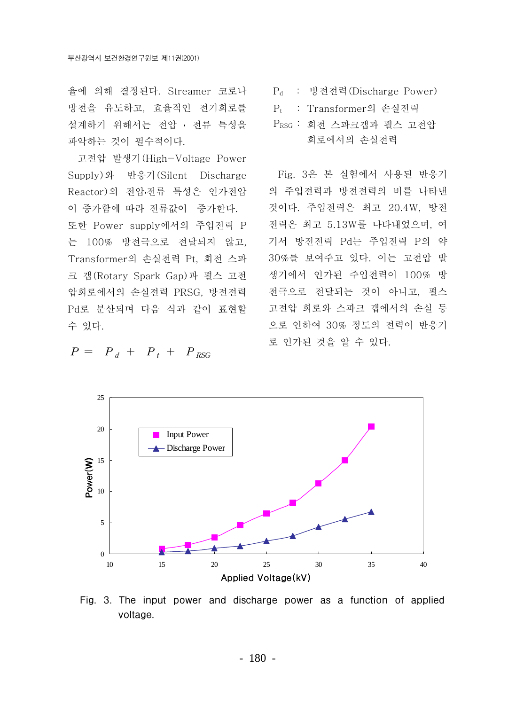율에 의해 결정된다. Streamer 코로나 방전을 유도하고, 효율적인 전기회로를 설계하기 위해서는 전압 · 전류 특성을 파악하는 것이 필수적이다.

고전압 발생기 (High-Voltage Power Supply)와 반응기(Silent Discharge Reactor)의 전압·전류 특성은 인가전압 이 증가함에 따라 전류값이 증가한다. 또한 Power supply에서의 주입전력 P 는 100% 방전극으로 전달되지 않고, Transformer의 손실전력 Pt. 회전 스파 크 갭(Rotary Spark Gap)과 펄스 고전 압회로에서의 손실전력 PRSG, 방전전력 Pd로 분산되며 다음 식과 같이 표현할 수 있다.

- P<sub>d</sub> : 방전전력(Discharge Power)
- P<sub>t</sub> : Transformer의 손실전력
- PRSG : 회전 스파크갭과 펄스 고전압 회로에서의 손실전력

Fig. 3은 본 실험에서 사용된 반응기 의 주입전력과 방전전력의 비를 나타낸 것이다. 주입전력은 최고 20.4W, 방전 전력은 최고 5.13W를 나타내었으며, 여 기서 방전전력 Pd는 주입전력 P의 약 30%를 보여주고 있다. 이는 고전압 발 생기에서 인가된 주입전력이 100% 방 전극으로 전달되는 것이 아니고, 펄스 고전압 회로와 스파크 갭에서의 손실 등 으로 인하여 30% 정도의 전력이 반응기 로 인가된 것을 알 수 있다.



Fig. 3. The input power and discharge power as a function of applied voltage.

$$
P = P_d + P_t + P_{RSG}
$$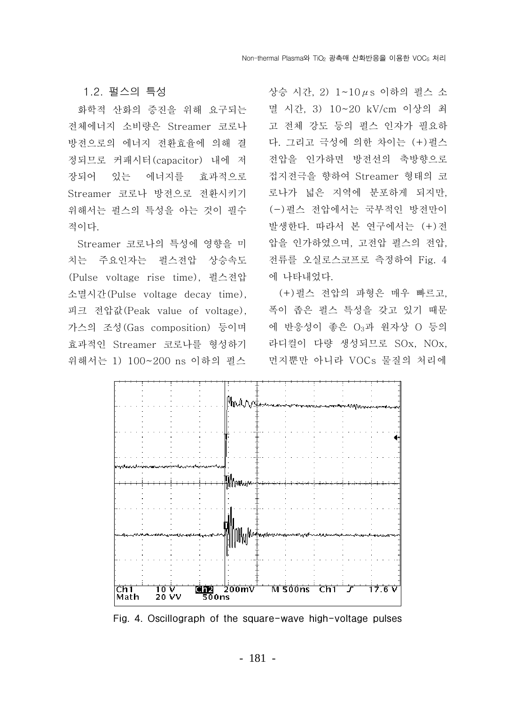#### 1.2. 펄스의 특성

화학적 산화의 증진을 위해 요구되는 전체에너지 소비량은 Streamer 코로나 방전으로의 에너지 전환효율에 의해 결 정되므로 커패시터 (capacitor) 내에 저 장되어 있는 에너지를 효과적으로 Streamer 코로나 방전으로 전환시키기 위해서는 펄스의 특성을 아는 것이 필수 적이다.

Streamer 코로나의 특성에 영향을 미 치는 주요인자는 펄스전압 상승속도 (Pulse voltage rise time), 펄스전압 소멸시간 (Pulse voltage decay time), 피크 전압값(Peak value of voltage), 가스의 조성(Gas composition) 등이며 효과적인 Streamer 코로나를 형성하기 위해서는 1) 100~200 ns 이하의 펄스

상승 시간, 2) 1~10μs 이하의 펄스 소 멸 시간, 3) 10~20 kV/cm 이상의 최 고 전체 강도 등의 펄스 인자가 필요하 다. 그리고 극성에 의한 차이는 (+)펄스 전압을 인가하면 방전선의 축방향으로 접지전극을 향하여 Streamer 형태의 코 로나가 넓은 지역에 분포하게 되지만, (-)펄스 전압에서는 국부적인 방전만이 발생한다. 따라서 본 연구에서는 (+)전 압을 인가하였으며, 고전압 펄스의 전압, 전류를 오실로스코프로 측정하여 Fig. 4 에 나타내었다.

(+)펄스 전압의 파형은 매우 빠르고. 폭이 좁은 펄스 특성을 갖고 있기 때문 에 반응성이 좋은 O3과 원자상 O 등의 라디컬이 다량 생성되므로 SOx, NOx, 먼지뿐만 아니라 VOCs 물질의 처리에



Fig. 4. Oscillograph of the square-wave high-voltage pulses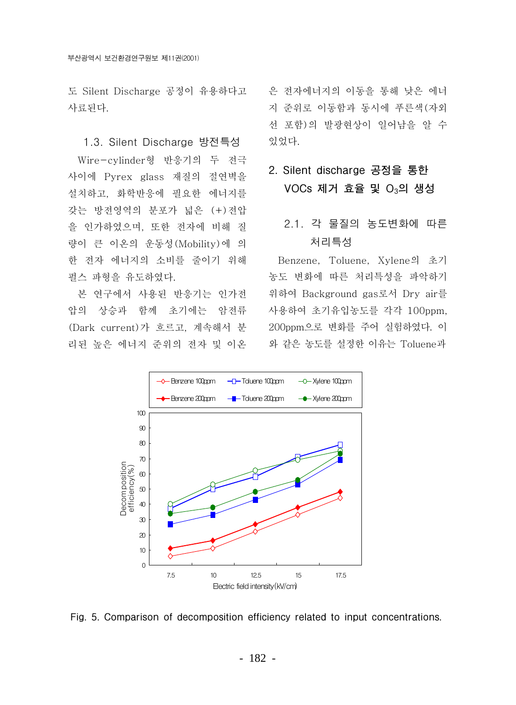도 Silent Discharge 공정이 유용하다고 사료된다.

1.3. Silent Discharge 방전특성 Wire-cylinder형 반응기의 두 전극 사이에 Pyrex glass 재질의 절연벽을 설치하고, 화학반응에 필요한 에너지를 갖는 방전영역의 분포가 넓은 (+)전압 을 인가하였으며, 또한 전자에 비해 질 량이 큰 이온의 운동성 (Mobility)에 의 한 전자 에너지의 소비를 줄이기 위해 펄스 파형을 유도하였다.

본 연구에서 사용된 반응기는 인가전 압의 상승과 함께 초기에는 암전류 (Dark current)가 흐르고, 계속해서 분 리된 높은 에너지 준위의 전자 및 이온 은 전자에너지의 이동을 통해 낮은 에너 지 준위로 이동함과 동시에 푸른색(자외 선 포함)의 발광현상이 일어남을 알 수 있었다.

### 2. Silent discharge 공정을 통한  $VOCs$  제거 효율 및  $O<sub>3</sub>$ 의 생성

### 2.1. 각 물질의 농도변화에 따른 처리특성

Benzene, Toluene, Xylene의 초기 농도 변화에 따른 처리특성을 파악하기 위하여 Background gas로서 Dry air를 사용하여 초기유입농도를 각각 100ppm, 200ppm으로 변화를 주어 실험하였다. 이 와 같은 농도를 설정한 이유는 Toluene과



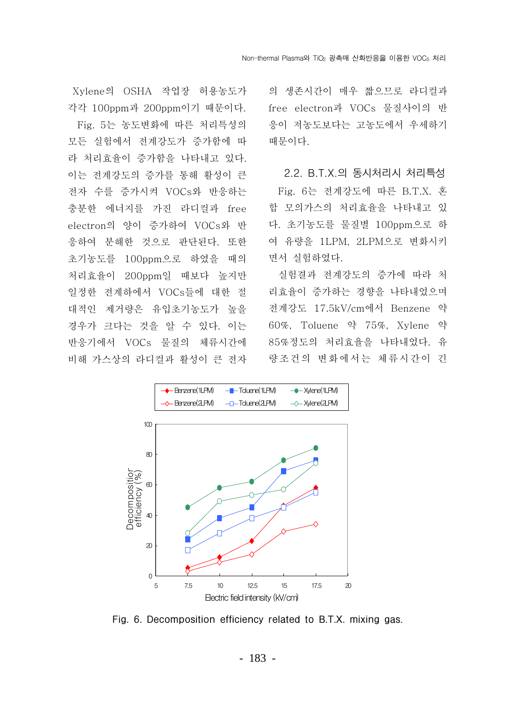Xvlene의 OSHA 작업장 허용농도가 각각 100ppm과 200ppm이기 때문이다.

Fig. 5는 농도변화에 따른 처리특성의 모든 실험에서 전계강도가 증가함에 따 라 처리효율이 증가함을 나타내고 있다. 이는 전계강도의 증가를 통해 활성이 큰 전자 수를 증가시켜 VOCs와 반응하는 충분한 에너지를 가진 라디컬과 free electron의 양이 증가하여 VOCs와 반 응하여 분해한 것으로 판단된다. 또한 초기농도를 100ppm으로 하였을 때의 처리효율이 200ppm일 때보다 높지만 일정한 전계하에서 VOCs들에 대한 절 대적인 제거량은 유입초기농도가 높을 경우가 크다는 것을 알 수 있다. 이는 반응기에서 VOCs 물질의 체류시간에 비해 가스상의 라디컬과 활성이 큰 전자

의 생존시간이 매우 짧으므로 라디컬과 free electron과 VOCs 물질사이의 반 응이 저농도보다는 고농도에서 우세하기 때문이다.

2.2. B.T.X.의 동시처리시 처리특성 Fig. 6는 전계강도에 따른 B.T.X. 혼 합 모의가스의 처리효율을 나타내고 있 다. 초기농도를 물질별 100ppm으로 하 여 유량을 1LPM, 2LPM으로 변화시키 면서 실험하였다.

실험결과 전계강도의 증가에 따라 처 리효율이 증가하는 경향을 나타내었으며 전계강도 17.5kV/cm에서 Benzene 약 60%, Toluene 약 75%, Xylene 약 85%정도의 처리효율을 나타내었다. 유 량조건의 변화에서는 체류시간이 긴



Fig. 6. Decomposition efficiency related to B.T.X. mixing gas.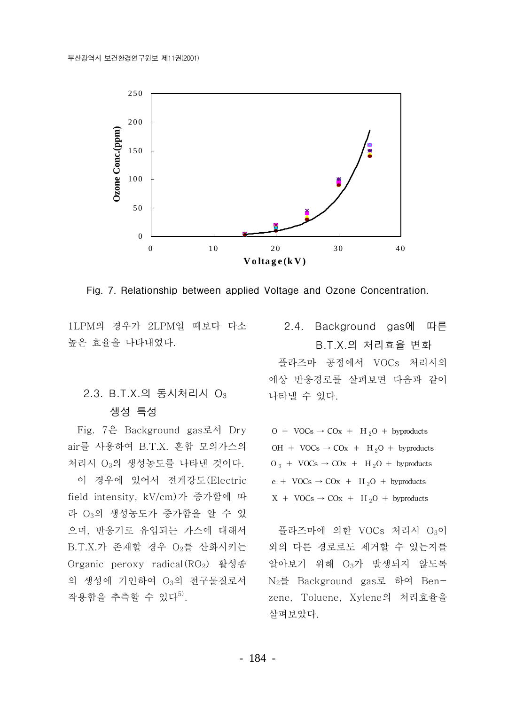

Fig. 7. Relationship between applied Voltage and Ozone Concentration.

1LPM의 경우가 2LPM일 때보다 다소 높은 효율을 나타내었다.

### 2.3. B.T.X.의 동시처리시 O<sub>3</sub> 생성 특성

Fig. 7은 Background gas로서 Dry air를 사용하여 B.T.X. 혼합 모의가스의 처리시 O3의 생성농도를 나타낸 것이다.

이 경우에 있어서 전계강도 (Electric field intensity, kV/cm)가 증가함에 따 라 O<sub>3</sub>의 생성농도가 증가함을 알 수 있 으며, 반응기로 유입되는 가스에 대해서 B.T.X.가 존재할 경우 O2를 산화시키는 Organic peroxy radical(RO<sub>2</sub>) 활성종 의 생성에 기인하여 O3의 전구물질로서 작용함을 추측할 수 있다<sup>5)</sup>.

### 2.4. Background gas에 따른 B.T.X.의 처리효율 변화

플라즈마 공정에서 VOCs 처리시의 예상 반응경로를 살펴보면 다음과 같이 나타낼 수 있다.

 $0 + \text{VOCs} \rightarrow \text{COx} + \text{H}_2\text{O} + \text{bypoducts}$ OH + VOCs  $\rightarrow$  COx + H<sub>2</sub>O + byproducts  $O_3$  + VOCs  $\rightarrow$  COx + H<sub>2</sub>O + byproducts  $e + \text{VOCs} \rightarrow \text{COx} + \text{H}_2\text{O} + \text{byproducts}$  $X + VOCs \rightarrow COx + H_2O + by products$ 

플라즈마에 의한 VOCs 처리시 O3이 외의 다른 경로로도 제거할 수 있는지를 알아보기 위해 O3가 발생되지 않도록 N<sub>2</sub>를 Background gas로 하여 Benzene, Toluene, Xylene의 처리효율을 살펴보았다.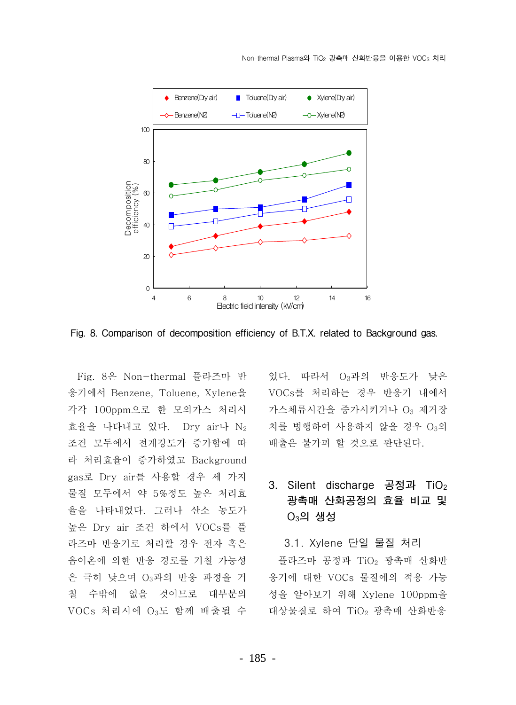

Fig. 8. Comparison of decomposition efficiency of B.T.X. related to Background gas.

Fig. 8은 Non-thermal 플라즈마 반 응기에서 Benzene. Toluene. Xvlene을 각각 100ppm으로 한 모의가스 처리시 효율을 나타내고 있다. Dry air나  $N_2$ 조건 모두에서 전계강도가 증가함에 따 라 처리효율이 증가하였고 Background gas로 Drv air를 사용할 경우 세 가지 물질 모두에서 약 5%정도 높은 처리효 율을 나타내었다. 그러나 산소 농도가 높은 Dry air 조건 하에서 VOCs를 플 라즈마 반응기로 처리할 경우 전자 혹은 음이온에 의한 반응 경로를 거칠 가능성 은 극히 낮으며 O3과의 반응 과정을 거 칠 수밖에 없을 것이므로 대부분의 VOCs 처리시에 O3도 함께 배출될 수 있다. 따라서 O<sub>3</sub>과의 반응도가 낮은 VOCs를 처리하는 경우 반응기 내에서 가스체류시간을 증가시키거나 O3 제거장 치를 병행하여 사용하지 않을 경우 O3의 배출은 불가피 할 것으로 판단된다.

### 3. Silent discharge 공정과 TiO<sub>2</sub> 광촉매 산화공정의 효율 비교 및  $O_3$ 의 생성

3.1. Xylene 단일 물질 처리

플라즈마 공정과 TiO<sub>2</sub> 광촉매 산화반 응기에 대한 VOCs 물질에의 적용 가능 성을 알아보기 위해 Xylene 100ppm을 대상물질로 하여 TiO<sub>2</sub> 광촉매 산화반응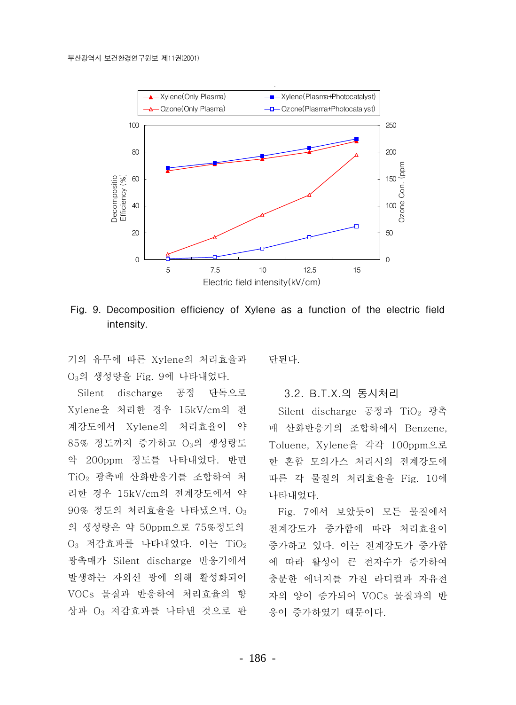

Fig. 9. Decomposition efficiency of Xylene as a function of the electric field intensity.

기의 유무에 따른 Xylene의 처리효율과 O<sub>3</sub>의 생성량을 Fig. 9에 나타내었다.

Silent discharge 공정 단독으로 Xylene을 처리한 경우 15kV/cm의 전 계강도에서 Xylene의 처리효율이 약 85% 정도까지 증가하고 O3의 생성량도 약 200ppm 정도를 나타내었다. 반면 TiO<sub>2</sub> 광촉매 산화반응기를 조합하여 처 리한 경우 15kV/cm의 전계강도에서 약  $90\%$  정도의 처리효율을 나타냈으며,  $O_3$ 의 생성량은 약 50ppm으로 75%정도의  $O_3$  저감효과를 나타내었다. 이는 Ti $O_2$ 광촉매가 Silent discharge 반응기에서 발생하는 자외선 광에 의해 활성화되어 VOCs 물질과 반응하여 처리효율의 향 상과 O3 저감효과를 나타낸 것으로 판 다된다.

#### 3.2. B.T.X.의 동시처리

Silent discharge 공정과 TiO<sub>2</sub> 광촉 매 산화반응기의 조합하에서 Benzene, Toluene, Xylene을 각각 100ppm으로 한 혼합 모의가스 처리시의 전계강도에 따른 각 물질의 처리효율을 Fig. 10에 나타내었다.

Fig. 7에서 보았듯이 모든 물질에서 전계강도가 증가함에 따라 처리효율이 증가하고 있다. 이는 전계강도가 증가함 에 따라 활성이 큰 전자수가 증가하여 충분한 에너지를 가진 라디컬과 자유전 자의 양이 증가되어 VOCs 물질과의 반 응이 증가하였기 때문이다.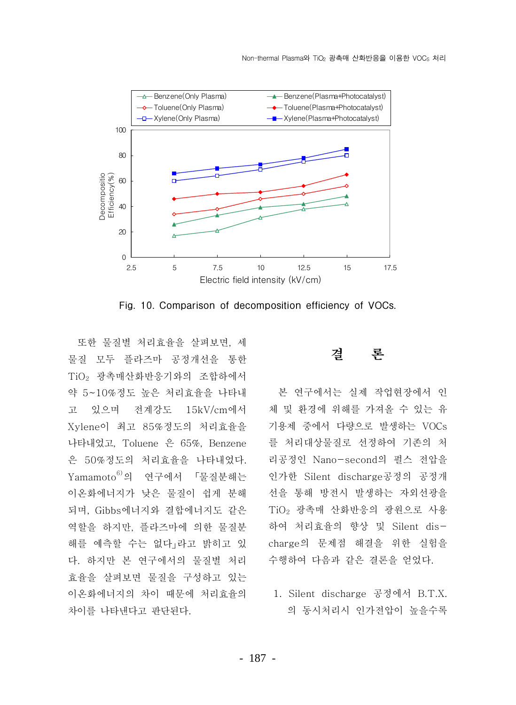

Fig. 10. Comparison of decomposition efficiency of VOCs.

또한 물질별 처리효율을 살펴보면, 세 물질 모두 플라즈마 공정개선을 통한 TiO<sub>2</sub> 광촉매산화반응기와의 조합하에서 약 5~10%정도 높은 처리효율을 나타내 고 있으며 전계강도 15kV/cm에서 Xylene이 최고 85%정도의 처리효율을 나타내었고, Toluene 은 65%, Benzene 은 50%정도의 처리효율을 나타내었다. Yamamoto<sup>6)</sup>의 연구에서 「물질분해는 이온화에너지가 낮은 물질이 쉽게 분해 되며, Gibbs에너지와 결합에너지도 같은 역할을 하지만, 플라즈마에 의한 물질분 해를 예측할 수는 없다」라고 밝히고 있 다. 하지만 본 연구에서의 물질별 처리 효율을 살펴보면 물질을 구성하고 있는 이온화에너지의 차이 때문에 처리효율의 차이를 나타내다고 판단된다.

#### 론 곀

본 여구에서는 실제 작업혀장에서 인 체 및 환경에 위해를 가져올 수 있는 유 기용제 중에서 다량으로 발생하는 VOCs 를 처리대상물질로 선정하여 기존의 처 리공정인 Nano-second의 펄스 전압을 인가한 Silent discharge공정의 공정개 선을 통해 방전시 발생하는 자외선광을 TiO<sub>2</sub> 광촉매 산화반응의 광원으로 사용 하여 처리효율의 향상 및 Silent discharge의 문제점 해결을 위한 실험을 수행하여 다음과 같은 결론을 얻었다.

1. Silent discharge 공정에서 B.T.X. 의 동시처리시 인가전압이 높을수록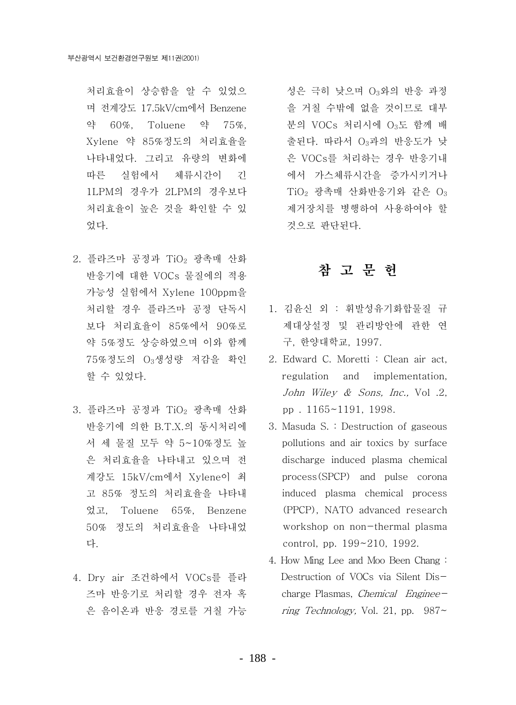처리효율이 상승함을 알 수 있었으 며 전계강도 17.5kV/cm에서 Benzene 약 60%. Toluene 약 75%. Xylene 약 85%정도의 처리효율을 나타내었다. 그리고 유량의 변화에 따른 실험에서 체류시간이 긴 1LPM의 경우가 2LPM의 경우보다 처리효율이 높은 것을 확인할 수 있 었다.

- 2. 플라즈마 공정과 TiO<sub>2</sub> 광촉매 산화 반응기에 대한 VOCs 물질에의 적용 가능성 실험에서 Xylene 100ppm을 처리할 경우 플라즈마 공정 단독시 보다 처리효율이 85%에서 90%로 약 5%정도 상승하였으며 이와 함께 75%정도의 O3생성량 저감을 확인 할 수 있었다.
- 3. 플라즈마 공정과 TiO<sub>2</sub> 광촉매 산화 반응기에 의한 B.T.X.의 동시처리에 서 세 물질 모두 약 5~10%정도 높 은 처리효율을 나타내고 있으며 전 계강도 15kV/cm에서 Xylene이 최 고 85% 정도의 처리효율을 나타내 었고, Toluene 65%, Benzene 50% 정도의 처리효율을 나타내었 다.
- 4. Drv air 조건하에서 VOCs를 플라 즈마 반응기로 처리할 경우 전자 혹 은 음이온과 반응 경로를 거칠 가능

성은 극히 낮으며 O3와의 반응 과정 을 거칠 수밖에 없을 것이므로 대부 분의 VOCs 처리시에  $O_3$ 도 함께 배 출된다. 따라서 O3과의 반응도가 낮 은 VOCs를 처리하는 경우 반응기내 에서 가스체류시간을 증가시키거나  $TiO<sub>2</sub>$  광촉매 산화반응기와 같은  $O<sub>3</sub>$ 제거장치를 병행하여 사용하여야 할 것으로 판단된다.

### 참 고 무 헌

- 1. 김유신 외 : 휘발성유기화합물질 규 제대상설정 및 관리방안에 관한 연 구, 한양대학교, 1997.
- 2. Edward C. Moretti: Clean air act, regulation and implementation, John Wiley & Sons, Inc., Vol. 2, pp. 1165~1191, 1998.
- 3. Masuda S. : Destruction of gaseous pollutions and air toxics by surface discharge induced plasma chemical process(SPCP) and pulse corona induced plasma chemical process (PPCP). NATO advanced research workshop on non-thermal plasma control, pp. 199~210, 1992.
- 4. How Ming Lee and Moo Been Chang: Destruction of VOCs via Silent Discharge Plasmas, Chemical Engineering Technology, Vol. 21, pp.  $987\sim$